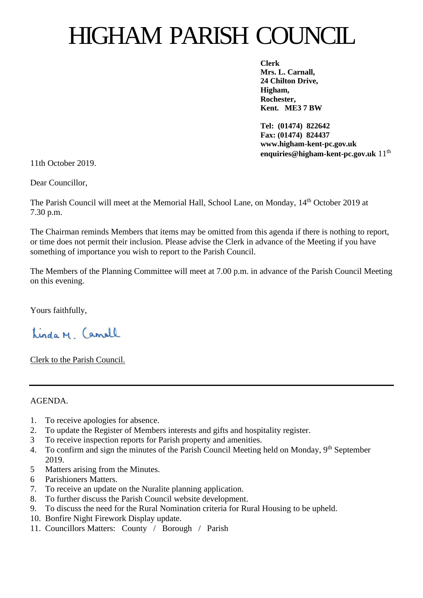# HIGHAM PARISH COUNCIL

**Clerk Mrs. L. Carnall, 24 Chilton Drive, Higham, Rochester, Kent. ME3 7 BW**

**Tel: (01474) 822642 Fax: (01474) 824437 www.higham-kent-pc.gov.uk enquiries@higham-kent-pc.gov.uk** 11<sup>th</sup>

11th October 2019.

Dear Councillor,

The Parish Council will meet at the Memorial Hall, School Lane, on Monday, 14th October 2019 at 7.30 p.m.

The Chairman reminds Members that items may be omitted from this agenda if there is nothing to report, or time does not permit their inclusion. Please advise the Clerk in advance of the Meeting if you have something of importance you wish to report to the Parish Council.

The Members of the Planning Committee will meet at 7.00 p.m. in advance of the Parish Council Meeting on this evening.

Yours faithfully,

Linda M Camell

Clerk to the Parish Council.

AGENDA.

- 1. To receive apologies for absence.
- 2. To update the Register of Members interests and gifts and hospitality register.
- 3 To receive inspection reports for Parish property and amenities.
- 4. To confirm and sign the minutes of the Parish Council Meeting held on Monday, 9<sup>th</sup> September 2019.
- 5 Matters arising from the Minutes.
- 6 Parishioners Matters.
- 7. To receive an update on the Nuralite planning application.
- 8. To further discuss the Parish Council website development.
- 9. To discuss the need for the Rural Nomination criteria for Rural Housing to be upheld.
- 10. Bonfire Night Firework Display update.
- 11. Councillors Matters: County / Borough / Parish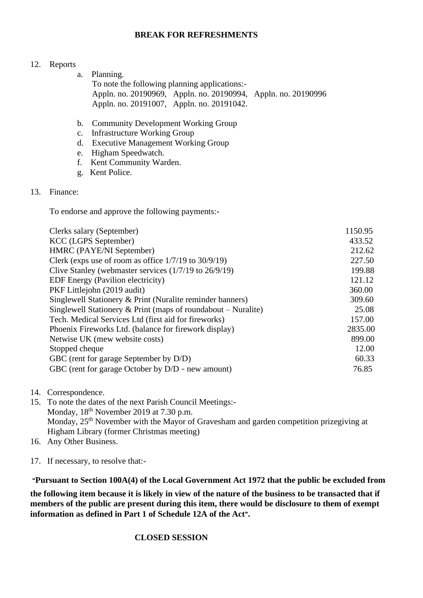#### **BREAK FOR REFRESHMENTS**

#### 12. Reports

- a. Planning. To note the following planning applications:- Appln. no. 20190969, Appln. no. 20190994, Appln. no. 20190996 Appln. no. 20191007, Appln. no. 20191042.
- b. Community Development Working Group
- c. Infrastructure Working Group
- d. Executive Management Working Group
- e. Higham Speedwatch.
- f. Kent Community Warden.
- g. Kent Police.

#### 13. Finance:

To endorse and approve the following payments:-

| Clerks salary (September)                                     | 1150.95 |
|---------------------------------------------------------------|---------|
| <b>KCC</b> (LGPS September)                                   | 433.52  |
| HMRC (PAYE/NI September)                                      | 212.62  |
| Clerk (exps use of room as office $1/7/19$ to $30/9/19$ )     | 227.50  |
| Clive Stanley (webmaster services $(1/7/19)$ to $26/9/19$ )   | 199.88  |
| <b>EDF</b> Energy (Pavilion electricity)                      | 121.12  |
| PKF Littlejohn (2019 audit)                                   | 360.00  |
| Singlewell Stationery & Print (Nuralite reminder banners)     | 309.60  |
| Singlewell Stationery & Print (maps of roundabout – Nuralite) | 25.08   |
| Tech. Medical Services Ltd (first aid for fireworks)          | 157.00  |
| Phoenix Fireworks Ltd. (balance for firework display)         | 2835.00 |
| Netwise UK (mew website costs)                                | 899.00  |
| Stopped cheque                                                | 12.00   |
| GBC (rent for garage September by D/D)                        | 60.33   |
| GBC (rent for garage October by D/D - new amount)             | 76.85   |
|                                                               |         |

- 14. Correspondence.
- 15. To note the dates of the next Parish Council Meetings:- Monday,  $18<sup>th</sup>$  November 2019 at 7.30 p.m. Monday, 25<sup>th</sup> November with the Mayor of Gravesham and garden competition prizegiving at Higham Library (former Christmas meeting)
- 16. Any Other Business.
- 17. If necessary, to resolve that:-

**"Pursuant to Section 100A(4) of the Local Government Act 1972 that the public be excluded from** 

**the following item because it is likely in view of the nature of the business to be transacted that if members of the public are present during this item, there would be disclosure to them of exempt information as defined in Part 1 of Schedule 12A of the Act".**

#### **CLOSED SESSION**